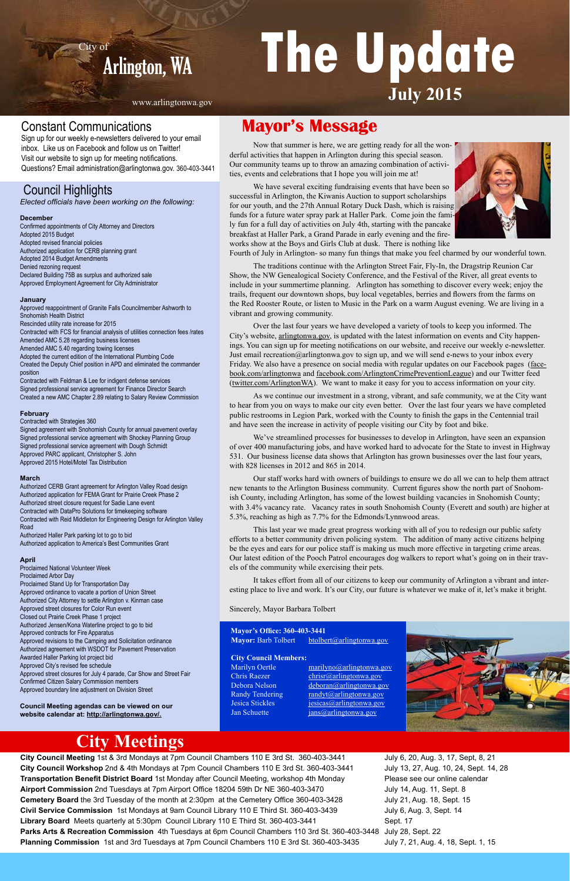# Arlington, WA **The Update July 2015**

## Council Highlights

*Elected officials have been working on the following:*

#### **December**

Confirmed appointments of City Attorney and Directors Adopted 2015 Budget Adopted revised financial policies Authorized application for CERB planning grant Adopted 2014 Budget Amendments Denied rezoning request Declared Building 75B as surplus and authorized sale Approved Employment Agreement for City Administrator

#### **January**

Approved reappointment of Granite Falls Councilmember Ashworth to Snohomish Health District Rescinded utility rate increase for 2015 Contracted with FCS for financial analysis of utilities connection fees /rates Amended AMC 5.28 regarding business licenses Amended AMC 5.40 regarding towing licenses Adopted the current edition of the International Plumbing Code Created the Deputy Chief position in APD and eliminated the commander position

Contracted with Feldman & Lee for indigent defense services Signed professional service agreement for Finance Director Search Created a new AMC Chapter 2.89 relating to Salary Review Commission

**City Council Meeting** 1st & 3rd Mondays at 7pm Council Chambers 110 E 3rd St. 360-403-3441 **City Council Workshop** 2nd & 4th Mondays at 7pm Council Chambers 110 E 3rd St. 360-403-3441 **Transportation Benefit District Board** 1st Monday after Council Meeting, workshop 4th Monday **Airport Commission** 2nd Tuesdays at 7pm Airport Office 18204 59th Dr NE 360-403-3470 **Cemetery Board** the 3rd Tuesday of the month at 2:30pm at the Cemetery Office 360-403-3428 **Civil Service Commission** 1st Mondays at 9am Council Library 110 E Third St. 360-403-3439 **Library Board** Meets quarterly at 5:30pm Council Library 110 E Third St. 360-403-3441 **Parks Arts & Recreation Commission** 4th Tuesdays at 6pm Council Chambers 110 3rd St. 360-403-3448 July 28, Sept. 22 **Planning Commission** 1st and 3rd Tuesdays at 7pm Council Chambers 110 E 3rd St. 360-403-3435 Sept. 17 July 7, 21, Aug. 4, 18, Sept. 1, 15

#### **February**

Contracted with Strategies 360 Signed agreement with Snohomish County for annual pavement overlay Signed professional service agreement with Shockey Planning Group Signed professional service agreement with Dough Schmidt

Approved PARC applicant, Christopher S. John Approved 2015 Hotel/Motel Tax Distribution

#### **March**

Authorized CERB Grant agreement for Arlington Valley Road design Authorized application for FEMA Grant for Prairie Creek Phase 2 Authorized street closure request for Sadie Lane event Contracted with DataPro Solutions for timekeeping software Contracted with Reid Middleton for Engineering Design for Arlington Valley Road

Authorized Haller Park parking lot to go to bid Authorized application to America's Best Communities Grant

#### **April**

Proclaimed National Volunteer Week Proclaimed Arbor Day Proclaimed Stand Up for Transportation Day Approved ordinance to vacate a portion of Union Street Authorized City Attorney to settle Arlington v. Kinman case Approved street closures for Color Run event Closed out Prairie Creek Phase 1 project Authorized Jensen/Kona Waterline project to go to bid Approved contracts for Fire Apparatus Approved revisions to the Camping and Solicitation ordinance Authorized agreement with WSDOT for Pavement Preservation Awarded Haller Parking lot project bid Approved City's revised fee schedule Approved street closures for July 4 parade, Car Show and Street Fair

Confirmed Citizen Salary Commission members Approved boundary line adjustment on Division Street

**Council Meeting agendas can be viewed on our website calendar at: http://arlingtonwa.gov/.**

Debora Nelson deboran@arlingtonwa.gov Randy Tendering randyt@arlingtonwa.gov Jesica Stickles jesicas@arlingtonwa.gov Jan Schuette jans@arlingtonwa.gov

> July 6, 20, Aug. 3, 17, Sept, 8, 21 July 13, 27, Aug. 10, 24, Sept. 14, 28 Please see our online calendar July 14, Aug. 11, Sept. 8 July 21, Aug. 18, Sept. 15 July 6, Aug. 3, Sept. 14

## **City Meetings**

**Mayor's Office: 360-403-3441**

Mayor: Barb Tolbert btolbert@arlingtonwa.gov

## **City Council Members:**

marilyno@arlingtonwa.gov  $ChriS$  Raezer chrisr@arlington



www.arlingtonwa.gov

## Constant Communications **Mayor's Message**

Sign up for our weekly e-newsletters delivered to your email inbox. Like us on Facebook and follow us on Twitter! Visit our website to sign up for meeting notifications. Questions? Email administration@arlingtonwa.gov. 360-403-3441

Now that summer is here, we are getting ready for all the wonderful activities that happen in Arlington during this special season. Our community teams up to throw an amazing combination of activities, events and celebrations that I hope you will join me at!



We have several exciting fundraising events that have been so successful in Arlington, the Kiwanis Auction to support scholarships for our youth, and the 27th Annual Rotary Duck Dash, which is raising funds for a future water spray park at Haller Park. Come join the family fun for a full day of activities on July 4th, starting with the pancake breakfast at Haller Park, a Grand Parade in early evening and the fireworks show at the Boys and Girls Club at dusk. There is nothing like

Fourth of July in Arlington- so many fun things that make you feel charmed by our wonderful town.

The traditions continue with the Arlington Street Fair, Fly-In, the Dragstrip Reunion Car Show, the NW Genealogical Society Conference, and the Festival of the River, all great events to include in your summertime planning. Arlington has something to discover every week; enjoy the trails, frequent our downtown shops, buy local vegetables, berries and flowers from the farms on the Red Rooster Route, or listen to Music in the Park on a warm August evening. We are living in a vibrant and growing community.

Over the last four years we have developed a variety of tools to keep you informed. The City's website, arlingtonwa.gov, is updated with the latest information on events and City happenings. You can sign up for meeting notifications on our website, and receive our weekly e-newsletter. Just email recreation@arlingtonwa.gov to sign up, and we will send e-news to your inbox every Friday. We also have a presence on social media with regular updates on our Facebook pages (facebook.com/arlingtonwa and facebook.com/ArlingtonCrimePreventionLeague) and our Twitter feed (twitter.com/ArlingtonWA). We want to make it easy for you to access information on your city.

As we continue our investment in a strong, vibrant, and safe community, we at the City want to hear from you on ways to make our city even better. Over the last four years we have completed public restrooms in Legion Park, worked with the County to finish the gaps in the Centennial trail and have seen the increase in activity of people visiting our City by foot and bike.

We've streamlined processes for businesses to develop in Arlington, have seen an expansion of over 400 manufacturing jobs, and have worked hard to advocate for the State to invest in Highway 531. Our business license data shows that Arlington has grown businesses over the last four years, with 828 licenses in 2012 and 865 in 2014.

Our staff works hard with owners of buildings to ensure we do all we can to help them attract new tenants to the Arlington Business community. Current figures show the north part of Snohomish County, including Arlington, has some of the lowest building vacancies in Snohomish County; with 3.4% vacancy rate. Vacancy rates in south Snohomish County (Everett and south) are higher at 5.3%, reaching as high as 7.7% for the Edmonds/Lynnwood areas.

This last year we made great progress working with all of you to redesign our public safety efforts to a better community driven policing system. The addition of many active citizens helping be the eyes and ears for our police staff is making us much more effective in targeting crime areas. Our latest edition of the Pooch Patrol encourages dog walkers to report what's going on in their travels of the community while exercising their pets.

It takes effort from all of our citizens to keep our community of Arlington a vibrant and interesting place to live and work. It's our City, our future is whatever we make of it, let's make it bright.

#### Sincerely, Mayor Barbara Tolbert

City of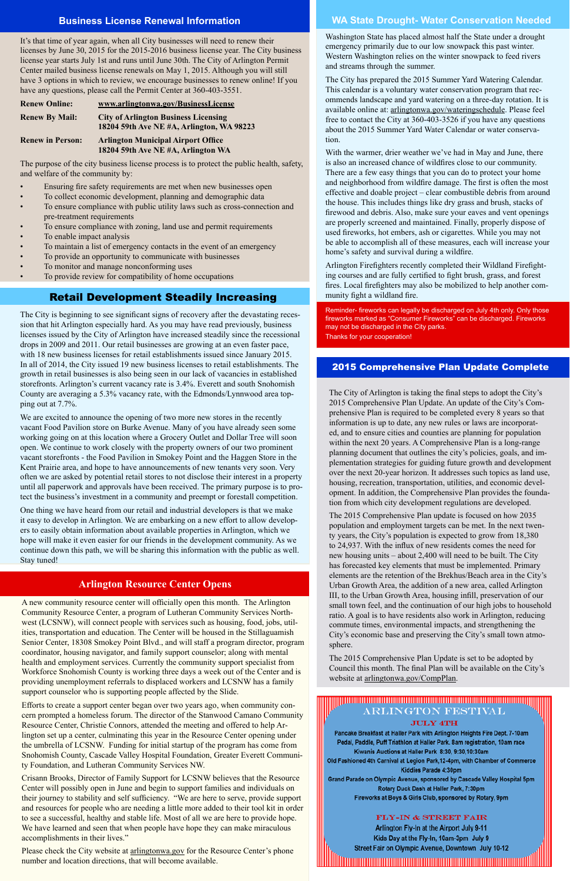#### **Arlington Resource Center Opens**

#### **WA State Drought- Water Conservation Needed**

#### 2015 Comprehensive Plan Update Complete

#### **Business License Renewal Information**

It's that time of year again, when all City businesses will need to renew their licenses by June 30, 2015 for the 2015-2016 business license year. The City business license year starts July 1st and runs until June 30th. The City of Arlington Permit Center mailed business license renewals on May 1, 2015. Although you will still have 3 options in which to review, we encourage businesses to renew online! If you have any questions, please call the Permit Center at 360-403-3551.

- Ensuring fire safety requirements are met when new businesses open
- To collect economic development, planning and demographic data
- To ensure compliance with public utility laws such as cross-connection and pre-treatment requirements
- To ensure compliance with zoning, land use and permit requirements
- To enable impact analysis
- To maintain a list of emergency contacts in the event of an emergency
- To provide an opportunity to communicate with businesses
- To monitor and manage nonconforming uses
- To provide review for compatibility of home occupations

| <b>Renew Online:</b>    | www.arlingtonwa.gov/BusinessLicense                                                      |
|-------------------------|------------------------------------------------------------------------------------------|
| <b>Renew By Mail:</b>   | <b>City of Arlington Business Licensing</b><br>18204 59th Ave NE #A, Arlington, WA 98223 |
| <b>Renew in Person:</b> | <b>Arlington Municipal Airport Office</b><br>18204 59th Ave NE #A, Arlington WA          |

The purpose of the city business license process is to protect the public health, safety, and welfare of the community by:

> The City of Arlington is taking the final steps to adopt the City's 2015 Comprehensive Plan Update. An update of the City's Comprehensive Plan is required to be completed every 8 years so that information is up to date, any new rules or laws are incorporated, and to ensure cities and counties are planning for population within the next 20 years. A Comprehensive Plan is a long-range planning document that outlines the city's policies, goals, and implementation strategies for guiding future growth and development over the next 20-year horizon. It addresses such topics as land use, housing, recreation, transportation, utilities, and economic development. In addition, the Comprehensive Plan provides the foundation from which city development regulations are developed.

With the warmer, drier weather we've had in May and June, there is also an increased chance of wildfires close to our community. There are a few easy things that you can do to protect your home and neighborhood from wildfire damage. The first is often the most effective and doable project – clear combustible debris from around the house. This includes things like dry grass and brush, stacks of firewood and debris. Also, make sure your eaves and vent openings are properly screened and maintained. Finally, properly dispose of used fireworks, hot embers, ash or cigarettes. While you may not be able to accomplish all of these measures, each will increase your home's safety and survival during a wildfire.

The 2015 Comprehensive Plan update is focused on how 2035 population and employment targets can be met. In the next twenty years, the City's population is expected to grow from 18,380 to 24,937. With the influx of new residents comes the need for new housing units – about 2,400 will need to be built. The City has forecasted key elements that must be implemented. Primary elements are the retention of the Brekhus/Beach area in the City's Urban Growth Area, the addition of a new area, called Arlington III, to the Urban Growth Area, housing infill, preservation of our small town feel, and the continuation of our high jobs to household ratio. A goal is to have residents also work in Arlington, reducing commute times, environmental impacts, and strengthening the City's economic base and preserving the City's small town atmosphere.

The 2015 Comprehensive Plan Update is set to be adopted by Council this month. The final Plan will be available on the City's

Washington State has placed almost half the State under a drought emergency primarily due to our low snowpack this past winter. Western Washington relies on the winter snowpack to feed rivers and streams through the summer.

Please check the City website at <u>arlingtonwa.gov</u> for the Resource Center's phone number and location directions, that will become available.

website at **arlingtonwa.gov/CompPlan** 

#### <u> Hindungan mahalang manggunian mahalang manggunian ma</u> ARLINGTON FESTIVAL

#### **JULY 4TH**

Pancake Breakfast at Haller Park with Arlington Heights Fire Dept. 7-10am Pedal, Paddle, Puff Triathlon at Haller Park. 8am registration, 10am race Kiwanis Auctions at Haller Park 8:30, 9:30, 10:30am Old Fashioned 4th Carnival at Legion Park,12-4pm, with Chamber of Commerce Kiddies Parade 4:30pm Grand Parade on Olympic Avenue, sponsored by Cascade Valley Hospital 5pm

Rotary Duck Dash at Haller Park, 7:30pm Fireworks at Boys & Girls Club, sponsored by Rotary, 9pm

#### FLY-IN & STREET FAIR

Arlington Fly-In at the Airport July 9-11 Kids Day at the Fly-In, 10am-3pm July 9 Street Fair on Olympic Avenue, Downtown July 10-12

<u> 1111 - 1111 - 1111 - 1111 - 1111 - 1111 - 1111 - 1111 - 1111 - 1111 - 1111 - 1111 - 1111 - 1111 - 1111 - 111</u>

The City has prepared the 2015 Summer Yard Watering Calendar. This calendar is a voluntary water conservation program that recommends landscape and yard watering on a three-day rotation. It is available online at: arlingtonwa.gov/wateringschedule. Please feel free to contact the City at 360-403-3526 if you have any questions about the 2015 Summer Yard Water Calendar or water conservation.

Arlington Firefighters recently completed their Wildland Firefighting courses and are fully certified to fight brush, grass, and forest fires. Local firefighters may also be mobilized to help another community fight a wildland fire.

Reminder- fireworks can legally be discharged on July 4th only. Only those fireworks marked as "Consumer Fireworks" can be discharged. Fireworks may not be discharged in the City parks. Thanks for your cooperation!

#### Retail Development Steadily Increasing

A new community resource center will officially open this month. The Arlington Community Resource Center, a program of Lutheran Community Services Northwest (LCSNW), will connect people with services such as housing, food, jobs, utilities, transportation and education. The Center will be housed in the Stillaguamish Senior Center, 18308 Smokey Point Blvd., and will staff a program director, program coordinator, housing navigator, and family support counselor; along with mental health and employment services. Currently the community support specialist from Workforce Snohomish County is working three days a week out of the Center and is providing unemployment referrals to displaced workers and LCSNW has a family support counselor who is supporting people affected by the Slide.

Efforts to create a support center began over two years ago, when community concern prompted a homeless forum. The director of the Stanwood Camano Community Resource Center, Christie Connors, attended the meeting and offered to help Arlington set up a center, culminating this year in the Resource Center opening under the umbrella of LCSNW. Funding for initial startup of the program has come from Snohomish County, Cascade Valley Hospital Foundation, Greater Everett Community Foundation, and Lutheran Community Services NW.

Crisann Brooks, Director of Family Support for LCSNW believes that the Resource Center will possibly open in June and begin to support families and individuals on their journey to stability and self sufficiency. "We are here to serve, provide support and resources for people who are needing a little more added to their tool kit in order to see a successful, healthy and stable life. Most of all we are here to provide hope. We have learned and seen that when people have hope they can make miraculous accomplishments in their lives."

The City is beginning to see significant signs of recovery after the devastating recession that hit Arlington especially hard. As you may have read previously, business licenses issued by the City of Arlington have increased steadily since the recessional drops in 2009 and 2011. Our retail businesses are growing at an even faster pace, with 18 new business licenses for retail establishments issued since January 2015. In all of 2014, the City issued 19 new business licenses to retail establishments. The growth in retail businesses is also being seen in our lack of vacancies in established storefronts. Arlington's current vacancy rate is 3.4%. Everett and south Snohomish County are averaging a 5.3% vacancy rate, with the Edmonds/Lynnwood area topping out at 7.7%.

We are excited to announce the opening of two more new stores in the recently vacant Food Pavilion store on Burke Avenue. Many of you have already seen some working going on at this location where a Grocery Outlet and Dollar Tree will soon open. We continue to work closely with the property owners of our two prominent vacant storefronts - the Food Pavilion in Smokey Point and the Haggen Store in the Kent Prairie area, and hope to have announcements of new tenants very soon. Very often we are asked by potential retail stores to not disclose their interest in a property until all paperwork and approvals have been received. The primary purpose is to protect the business's investment in a community and preempt or forestall competition.

One thing we have heard from our retail and industrial developers is that we make it easy to develop in Arlington. We are embarking on a new effort to allow developers to easily obtain information about available properties in Arlington, which we hope will make it even easier for our friends in the development community. As we continue down this path, we will be sharing this information with the public as well. Stay tuned!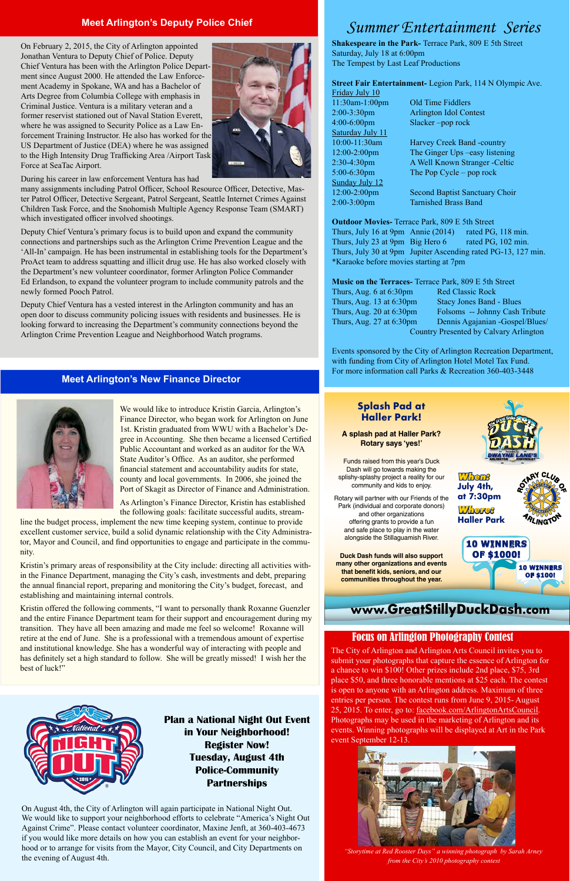#### **Meet Arlington's Deputy Police Chief**

On February 2, 2015, the City of Arlington appointed Jonathan Ventura to Deputy Chief of Police. Deputy Chief Ventura has been with the Arlington Police Department since August 2000. He attended the Law Enforcement Academy in Spokane, WA and has a Bachelor of Arts Degree from Columbia College with emphasis in Criminal Justice. Ventura is a military veteran and a former reservist stationed out of Naval Station Everett, where he was assigned to Security Police as a Law Enforcement Training Instructor. He also has worked for the US Department of Justice (DEA) where he was assigned to the High Intensity Drug Trafficking Area /Airport Task Force at SeaTac Airport.



During his career in law enforcement Ventura has had

many assignments including Patrol Officer, School Resource Officer, Detective, Master Patrol Officer, Detective Sergeant, Patrol Sergeant, Seattle Internet Crimes Against Children Task Force, and the Snohomish Multiple Agency Response Team (SMART) which investigated officer involved shootings.

Deputy Chief Ventura's primary focus is to build upon and expand the community connections and partnerships such as the Arlington Crime Prevention League and the 'All-In' campaign. He has been instrumental in establishing tools for the Department's ProAct team to address squatting and illicit drug use. He has also worked closely with the Department's new volunteer coordinator, former Arlington Police Commander Ed Erlandson, to expand the volunteer program to include community patrols and the newly formed Pooch Patrol.

Deputy Chief Ventura has a vested interest in the Arlington community and has an open door to discuss community policing issues with residents and businesses. He is looking forward to increasing the Department's community connections beyond the Arlington Crime Prevention League and Neighborhood Watch programs.

Red Classic Rock Stacy Jones Band - Blues Folsoms -- Johnny Cash Tribute Dennis Agajanian -Gospel/Blues/ Country Presented by Calvary Arlington

The City of Arlington and Arlington Arts Council invites you to submit your photographs that capture the essence of Arlington for a chance to win \$100! Other prizes include 2nd place, \$75, 3rd place \$50, and three honorable mentions at \$25 each. The contest is open to anyone with an Arlington address. Maximum of three entries per person. The contest runs from June 9, 2015- August 25, 2015. To enter, go to: facebook.com/ArlingtonArtsCouncil. Photographs may be used in the marketing of Arlington and its events. Winning photographs will be displayed at Art in the Park event September 12-13.



*"Storytime at Red Rooster Days" a winning photograph by Sarah Arney from the City's 2010 photography contest*

### *Summer Entertainment Series*

**Shakespeare in the Park-** Terrace Park, 809 E 5th Street Saturday, July 18 at 6:00pm The Tempest by Last Leaf Productions

#### **Street Fair Entertainment-** Legion Park, 114 N Olympic Ave.

2:00-3:30pm Arlington Idol Contest

Friday July 10 11:30am-1:00pm Old Time Fiddlers 4:00-6:00pm Slacker –pop rock Saturday July 11 Sunday July 12

10:00-11:30am Harvey Creek Band -country 12:00-2:00pm The Ginger Ups –easy listening 2:30-4:30pm A Well Known Stranger -Celtic 5:00-6:30pm The Pop Cycle – pop rock

12:00-2:00pm Second Baptist Sanctuary Choir 2:00-3:00pm Tarnished Brass Band

**Outdoor Movies-** Terrace Park, 809 E 5th Street Thurs, July 16 at 9pm Annie (2014) rated PG, 118 min. Thurs, July 23 at 9pm Big Hero 6 rated PG, 102 min. Thurs, July 30 at 9pm Jupiter Ascending rated PG-13, 127 min. \*Karaoke before movies starting at 7pm

#### **Music on the Terraces-** Terrace Park, 809 E 5th Street

| Thurs, Aug. $6$ at $6:30 \text{pm}$ |
|-------------------------------------|
| Thurs, Aug. 13 at 6:30pm            |
| Thurs, Aug. 20 at 6:30pm            |
| Thurs, Aug. 27 at 6:30pm            |
| O                                   |

Events sponsored by the City of Arlington Recreation Department, with funding from City of Arlington Hotel Motel Tax Fund. For more information call Parks & Recreation 360-403-3448

#### **Meet Arlington's New Finance Director**



We would like to introduce Kristin Garcia, Arlington's Finance Director, who began work for Arlington on June 1st. Kristin graduated from WWU with a Bachelor's Degree in Accounting. She then became a licensed Certified Public Accountant and worked as an auditor for the WA State Auditor's Office. As an auditor, she performed financial statement and accountability audits for state, county and local governments. In 2006, she joined the Port of Skagit as Director of Finance and Administration.

As Arlington's Finance Director, Kristin has established the following goals: facilitate successful audits, stream-

line the budget process, implement the new time keeping system, continue to provide excellent customer service, build a solid dynamic relationship with the City Administrator, Mayor and Council, and find opportunities to engage and participate in the community.

Kristin's primary areas of responsibility at the City include: directing all activities within the Finance Department, managing the City's cash, investments and debt, preparing the annual financial report, preparing and monitoring the City's budget, forecast, and establishing and maintaining internal controls.

Kristin offered the following comments, "I want to personally thank Roxanne Guenzler and the entire Finance Department team for their support and encouragement during my transition. They have all been amazing and made me feel so welcome! Roxanne will retire at the end of June. She is a professional with a tremendous amount of expertise and institutional knowledge. She has a wonderful way of interacting with people and has definitely set a high standard to follow. She will be greatly missed! I wish her the best of luck!"

> **Plan a National Night Out Event in Your Neighborhood! Register Now! Tuesday, August 4th Police-Community Partnerships**

On August 4th, the City of Arlington will again participate in National Night Out. We would like to support your neighborhood efforts to celebrate "America's Night Out Against Crime". Please contact volunteer coordinator, Maxine Jenft, at 360-403-4673 if you would like more details on how you can establish an event for your neighborhood or to arrange for visits from the Mayor, City Council, and City Departments on the evening of August 4th.



#### Focus on Arlington Photography Contest



#### **Splash Pad at Haller Park!**

**A splash pad at Haller Park? Rotary says 'yes!'**

Funds raised from this year's Duck Dash will go towards making the splishy-splashy project a reality for our community and kids to enjoy.

Rotary will partner with our Friends of the Park (individual and corporate donors) and other organizations offering grants to provide a fun and safe place to play in the water alongside the Stillaguamish River.

**Duck Dash funds will also support many other organizations and events that benefit kids, seniors, and our communities throughout the year.**



### **www.GreatStillyDuckDash.com**